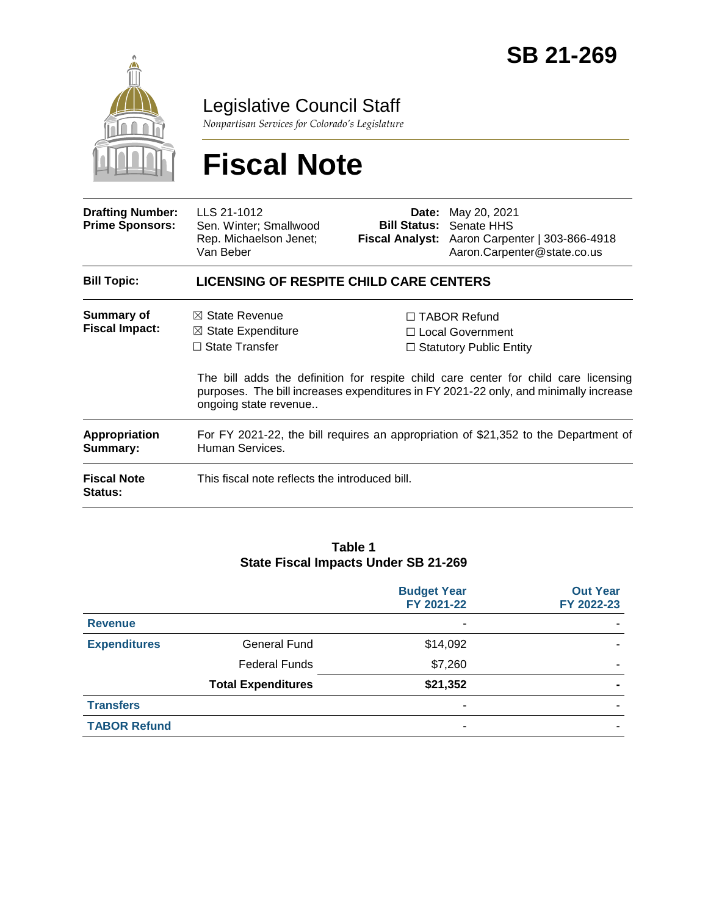

Legislative Council Staff

*Nonpartisan Services for Colorado's Legislature*

# **Fiscal Note**

| <b>Drafting Number:</b><br><b>Prime Sponsors:</b>                 | LLS 21-1012<br>Sen. Winter; Smallwood<br>Rep. Michaelson Jenet;<br>Van Beber                                                                                                      |                                                                                                                                                                                                                                                                 | <b>Date:</b> May 20, 2021<br><b>Bill Status: Senate HHS</b><br>Fiscal Analyst: Aaron Carpenter   303-866-4918<br>Aaron.Carpenter@state.co.us |  |
|-------------------------------------------------------------------|-----------------------------------------------------------------------------------------------------------------------------------------------------------------------------------|-----------------------------------------------------------------------------------------------------------------------------------------------------------------------------------------------------------------------------------------------------------------|----------------------------------------------------------------------------------------------------------------------------------------------|--|
| <b>Bill Topic:</b>                                                | <b>LICENSING OF RESPITE CHILD CARE CENTERS</b>                                                                                                                                    |                                                                                                                                                                                                                                                                 |                                                                                                                                              |  |
| <b>Summary of</b><br><b>Fiscal Impact:</b>                        | $\boxtimes$ State Revenue<br>$\boxtimes$ State Expenditure<br>$\Box$ State Transfer                                                                                               | $\Box$ TABOR Refund<br>$\Box$ Local Government<br>$\Box$ Statutory Public Entity<br>The bill adds the definition for respite child care center for child care licensing<br>purposes. The bill increases expenditures in FY 2021-22 only, and minimally increase |                                                                                                                                              |  |
| Appropriation<br>Summary:<br><b>Fiscal Note</b><br><b>Status:</b> | ongoing state revenue<br>For FY 2021-22, the bill requires an appropriation of \$21,352 to the Department of<br>Human Services.<br>This fiscal note reflects the introduced bill. |                                                                                                                                                                                                                                                                 |                                                                                                                                              |  |

#### **Table 1 State Fiscal Impacts Under SB 21-269**

|                     |                           | <b>Budget Year</b><br>FY 2021-22 | <b>Out Year</b><br>FY 2022-23 |
|---------------------|---------------------------|----------------------------------|-------------------------------|
| <b>Revenue</b>      |                           | ۰                                |                               |
| <b>Expenditures</b> | <b>General Fund</b>       | \$14,092                         |                               |
|                     | <b>Federal Funds</b>      | \$7,260                          |                               |
|                     | <b>Total Expenditures</b> | \$21,352                         |                               |
| <b>Transfers</b>    |                           | ۰                                |                               |
| <b>TABOR Refund</b> |                           | ۰                                |                               |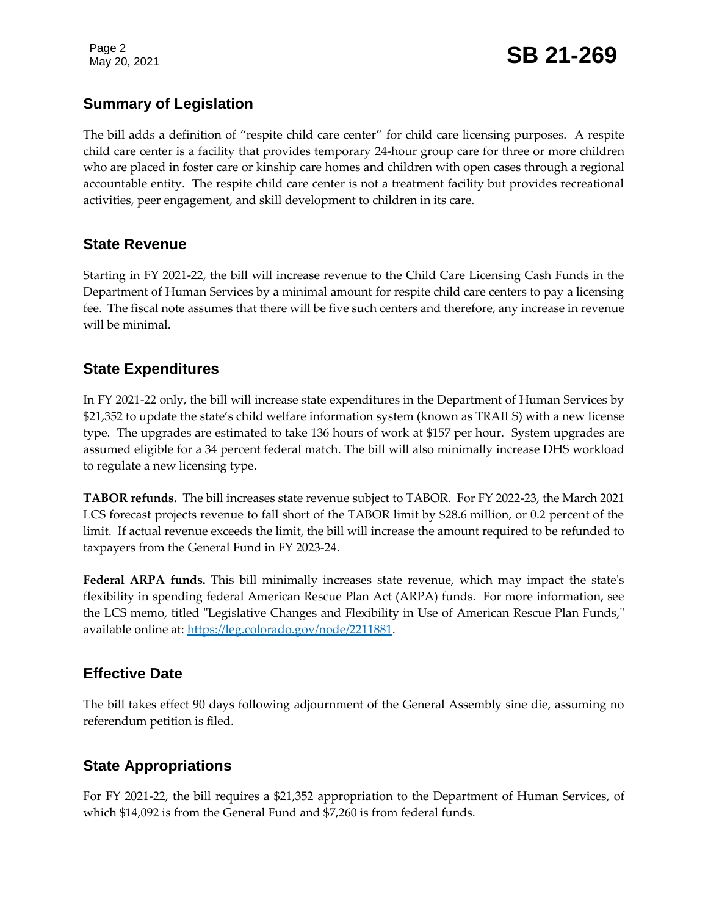Page 2

## **Summary of Legislation**

The bill adds a definition of "respite child care center" for child care licensing purposes. A respite child care center is a facility that provides temporary 24-hour group care for three or more children who are placed in foster care or kinship care homes and children with open cases through a regional accountable entity. The respite child care center is not a treatment facility but provides recreational activities, peer engagement, and skill development to children in its care.

### **State Revenue**

Starting in FY 2021-22, the bill will increase revenue to the Child Care Licensing Cash Funds in the Department of Human Services by a minimal amount for respite child care centers to pay a licensing fee. The fiscal note assumes that there will be five such centers and therefore, any increase in revenue will be minimal.

### **State Expenditures**

In FY 2021-22 only, the bill will increase state expenditures in the Department of Human Services by \$21,352 to update the state's child welfare information system (known as TRAILS) with a new license type. The upgrades are estimated to take 136 hours of work at \$157 per hour. System upgrades are assumed eligible for a 34 percent federal match. The bill will also minimally increase DHS workload to regulate a new licensing type.

**TABOR refunds.** The bill increases state revenue subject to TABOR. For FY 2022-23, the March 2021 LCS forecast projects revenue to fall short of the TABOR limit by \$28.6 million, or 0.2 percent of the limit. If actual revenue exceeds the limit, the bill will increase the amount required to be refunded to taxpayers from the General Fund in FY 2023-24.

**Federal ARPA funds.** This bill minimally increases state revenue, which may impact the state's flexibility in spending federal American Rescue Plan Act (ARPA) funds. For more information, see the LCS memo, titled "Legislative Changes and Flexibility in Use of American Rescue Plan Funds," available online at: [https://leg.colorado.gov/node/2211881.](https://leg.colorado.gov/node/2211881)

## **Effective Date**

The bill takes effect 90 days following adjournment of the General Assembly sine die, assuming no referendum petition is filed.

## **State Appropriations**

For FY 2021-22, the bill requires a \$21,352 appropriation to the Department of Human Services, of which \$14,092 is from the General Fund and \$7,260 is from federal funds.